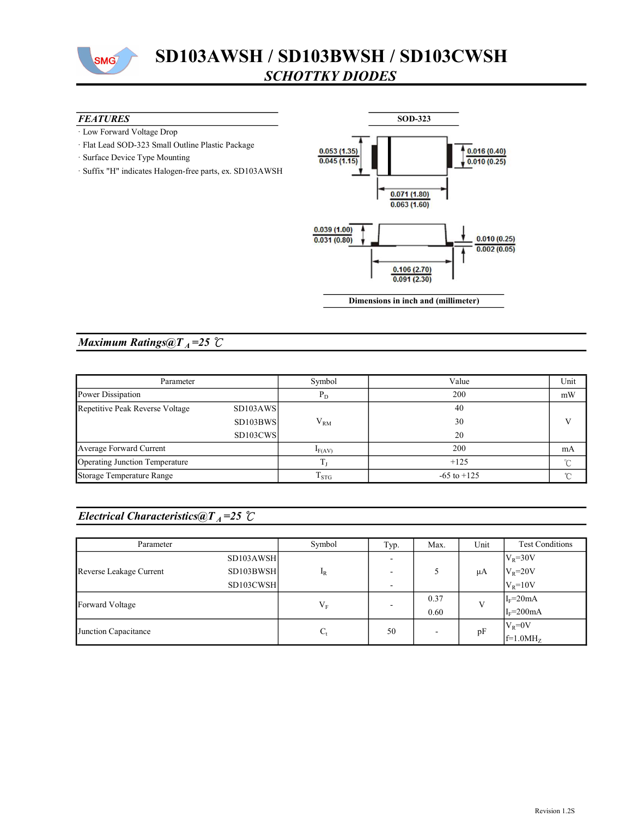

# SD103AWSH / SD103BWSH / SD103CWSH SCHOTTKY DIODES

#### **FEATURES**

- · Low Forward Voltage Drop
- · Flat Lead SOD-323 Small Outline Plastic Package
- · Surface Device Type Mounting
- · Suffix "H" indicates Halogen-free parts, ex. SD103AWSH



### Maximum Ratings@ $T_A = 25$  °C

| Parameter                       |                       | Symbol      | Value           | Unit     |
|---------------------------------|-----------------------|-------------|-----------------|----------|
| Power Dissipation               |                       | $P_D$       | 200             | mW       |
| Repetitive Peak Reverse Voltage | SD103AWS              |             | 40              |          |
|                                 | SD <sub>103</sub> BWS | $V_{RM}$    | 30              |          |
|                                 | SD <sub>103</sub> CWS |             | 20              |          |
| Average Forward Current         |                       | $I_{F(AV)}$ | 200             | mA       |
| Operating Junction Temperature  |                       |             | $+125$          | $\sim$   |
| Storage Temperature Range       |                       | $T_{STG}$   | $-65$ to $+125$ | $\gamma$ |

### Electrical Characteristics@T<sub>A</sub>=25  $\mathcal{C}$

| Parameter               |           | Symbol  | Typ. | Max.                     | Unit | <b>Test Conditions</b> |
|-------------------------|-----------|---------|------|--------------------------|------|------------------------|
| Reverse Leakage Current | SD103AWSH | $I_R$   |      |                          | μA   | $V_R = 30V$            |
|                         | SD103BWSH |         |      |                          |      | $V_R = 20V$            |
|                         | SD103CWSH |         |      |                          |      | $V_R = 10V$            |
| Forward Voltage         |           |         |      | 0.37                     | V    | $I_F = 20mA$           |
|                         |           | $V_{F}$ |      | 0.60                     |      | $IF=200mA$             |
| Junction Capacitance    |           | $C_{t}$ | 50   | $\overline{\phantom{a}}$ | pF   | $V_R = 0V$             |
|                         |           |         |      |                          |      | $f=1.0MHz$             |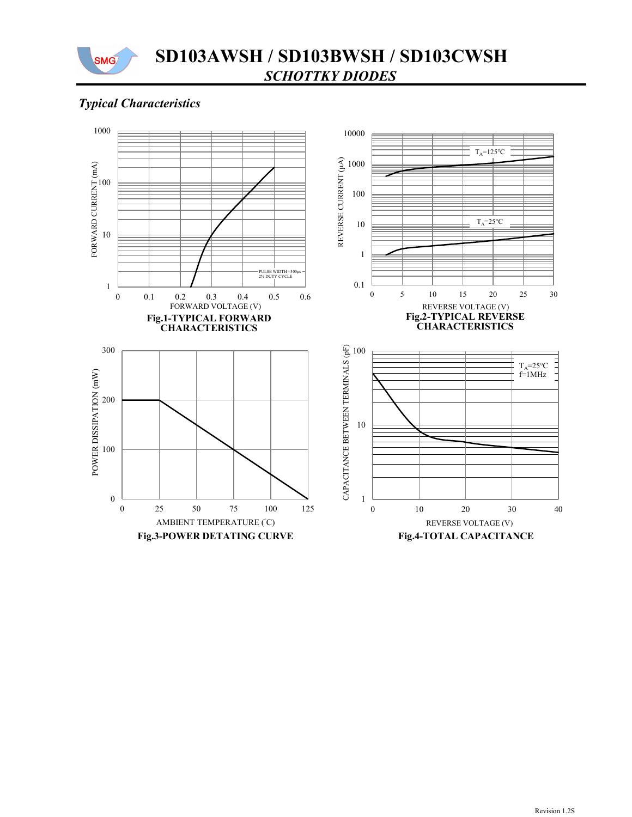

## Typical Characteristics

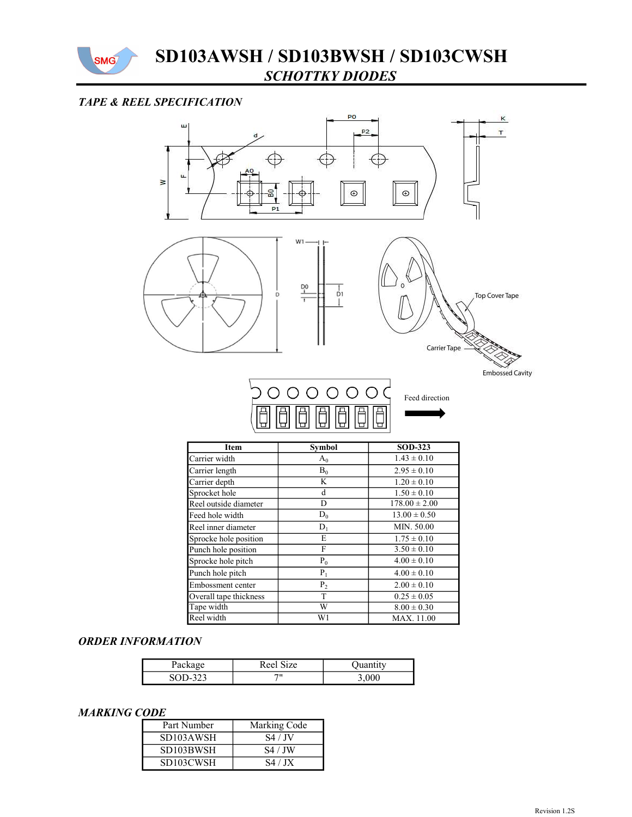

### TAPE & REEL SPECIFICATION



| <b>Item</b>            | Symbol         | <b>SOD-323</b>    |  |
|------------------------|----------------|-------------------|--|
| Carrier width          | $A_0$          | $1.43 \pm 0.10$   |  |
| Carrier length         | $B_0$          | $2.95 \pm 0.10$   |  |
| Carrier depth          | K              | $1.20 \pm 0.10$   |  |
| Sprocket hole          | d              | $1.50 \pm 0.10$   |  |
| Reel outside diameter  | D              | $178.00 \pm 2.00$ |  |
| Feed hole width        | $D_0$          | $13.00 \pm 0.50$  |  |
| Reel inner diameter    | $D_1$          | MIN. 50.00        |  |
| Sprocke hole position  | E              | $1.75 \pm 0.10$   |  |
| Punch hole position    | F              | $3.50 \pm 0.10$   |  |
| Sprocke hole pitch     | $P_0$          | $4.00 \pm 0.10$   |  |
| Punch hole pitch       | $P_1$          | $4.00 \pm 0.10$   |  |
| Embossment center      | P <sub>2</sub> | $2.00 \pm 0.10$   |  |
| Overall tape thickness | T              | $0.25 \pm 0.05$   |  |
| Tape width             | W              | $8.00 \pm 0.30$   |  |
| Reel width             | W1             | MAX. 11.00        |  |

#### ORDER INFORMATION

| Package | Reel Size | <b>Quantity</b> |
|---------|-----------|-----------------|
| SOD-323 | 711       | 3.000           |

#### MARKING CODE

| Part Number | Marking Code |
|-------------|--------------|
| SD103AWSH   | S4 / JV      |
| SD103BWSH   | S4 / JW      |
| SD103CWSH   | S4/ JX       |